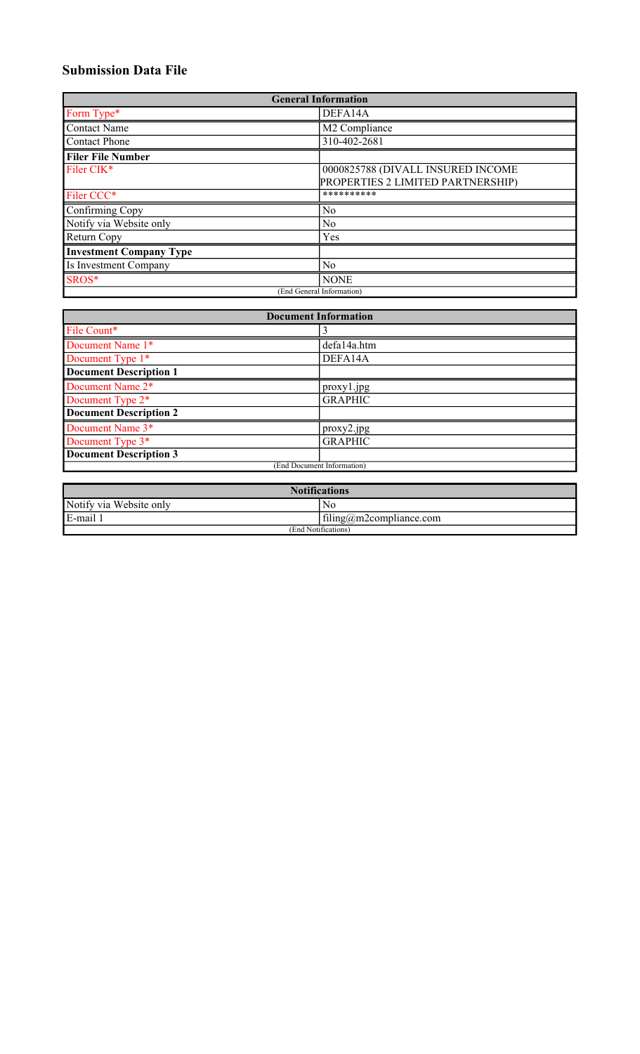## **Submission Data File**

| <b>General Information</b>     |                                   |  |  |
|--------------------------------|-----------------------------------|--|--|
| Form Type*                     | DEFA14A                           |  |  |
| <b>Contact Name</b>            | M2 Compliance                     |  |  |
| <b>Contact Phone</b>           | 310-402-2681                      |  |  |
| <b>Filer File Number</b>       |                                   |  |  |
| Filer CIK*                     | 0000825788 (DIVALL INSURED INCOME |  |  |
|                                | PROPERTIES 2 LIMITED PARTNERSHIP) |  |  |
| Filer CCC*                     | **********                        |  |  |
| Confirming Copy                | No                                |  |  |
| Notify via Website only        | N <sub>0</sub>                    |  |  |
| Return Copy                    | Yes                               |  |  |
| <b>Investment Company Type</b> |                                   |  |  |
| Is Investment Company          | No                                |  |  |
| SROS*                          | <b>NONE</b>                       |  |  |
|                                | (End General Information)         |  |  |

| <b>Document Information</b>   |                |  |
|-------------------------------|----------------|--|
| File Count*                   |                |  |
| Document Name 1*              | defa14a.htm    |  |
| Document Type 1*              | DEFA14A        |  |
| <b>Document Description 1</b> |                |  |
| Document Name 2*              | proxy1.jpg     |  |
| Document Type 2 <sup>*</sup>  | <b>GRAPHIC</b> |  |
| <b>Document Description 2</b> |                |  |
| Document Name 3*              | proxy2.jpg     |  |
| Document Type 3*              | <b>GRAPHIC</b> |  |
| <b>Document Description 3</b> |                |  |
| (End Document Information)    |                |  |

| <b>Notifications</b>    |                         |  |
|-------------------------|-------------------------|--|
| Notify via Website only | No                      |  |
| E-mail 1                | filing@m2compliance.com |  |
| (End Notifications)     |                         |  |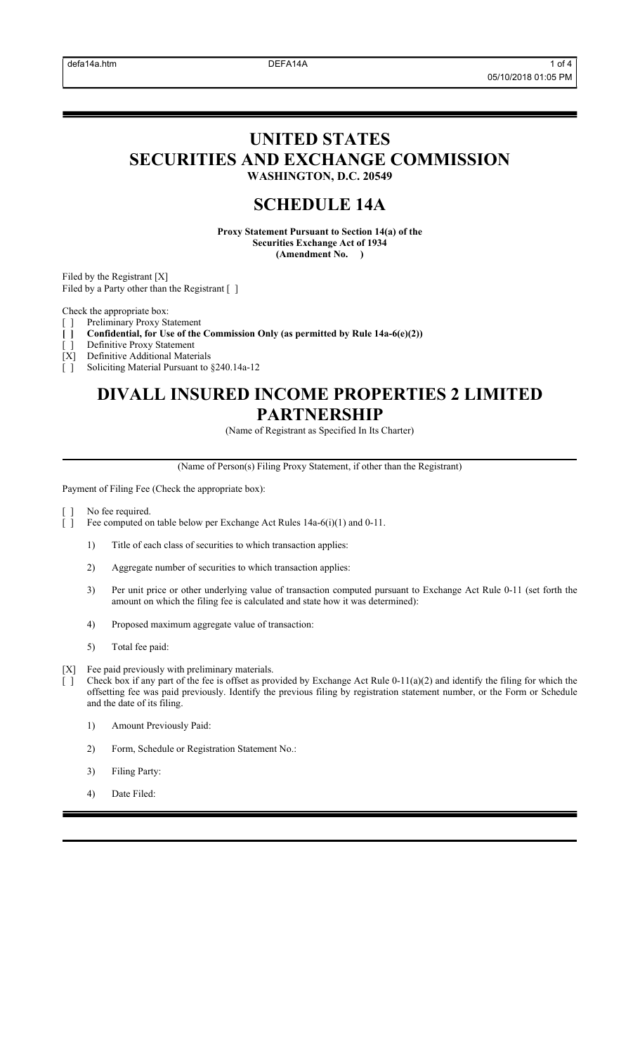## **UNITED STATES SECURITIES AND EXCHANGE COMMISSION WASHINGTON, D.C. 20549**

# **SCHEDULE 14A**

**Proxy Statement Pursuant to Section 14(a) of the Securities Exchange Act of 1934 (Amendment No. )**

Filed by the Registrant [X] Filed by a Party other than the Registrant [ ]

Check the appropriate box:

- [ ] Preliminary Proxy Statement
- **[ ] Confidential, for Use of the Commission Only (as permitted by Rule 14a-6(e)(2))**
- Definitive Proxy Statement [X] Definitive Additional Materials
- [ ] Soliciting Material Pursuant to §240.14a-12

# **DIVALL INSURED INCOME PROPERTIES 2 LIMITED PARTNERSHIP**

(Name of Registrant as Specified In Its Charter)

(Name of Person(s) Filing Proxy Statement, if other than the Registrant)

Payment of Filing Fee (Check the appropriate box):

- No fee required.
- [ ] Fee computed on table below per Exchange Act Rules 14a-6(i)(1) and 0-11.
	- 1) Title of each class of securities to which transaction applies:
	- 2) Aggregate number of securities to which transaction applies:
	- 3) Per unit price or other underlying value of transaction computed pursuant to Exchange Act Rule 0-11 (set forth the amount on which the filing fee is calculated and state how it was determined):
	- 4) Proposed maximum aggregate value of transaction:
	- 5) Total fee paid:
- [X] Fee paid previously with preliminary materials.
	- Check box if any part of the fee is offset as provided by Exchange Act Rule  $0-11(a)(2)$  and identify the filing for which the offsetting fee was paid previously. Identify the previous filing by registration statement number, or the Form or Schedule and the date of its filing.
		- 1) Amount Previously Paid:
		- 2) Form, Schedule or Registration Statement No.:
		- 3) Filing Party:
		- 4) Date Filed: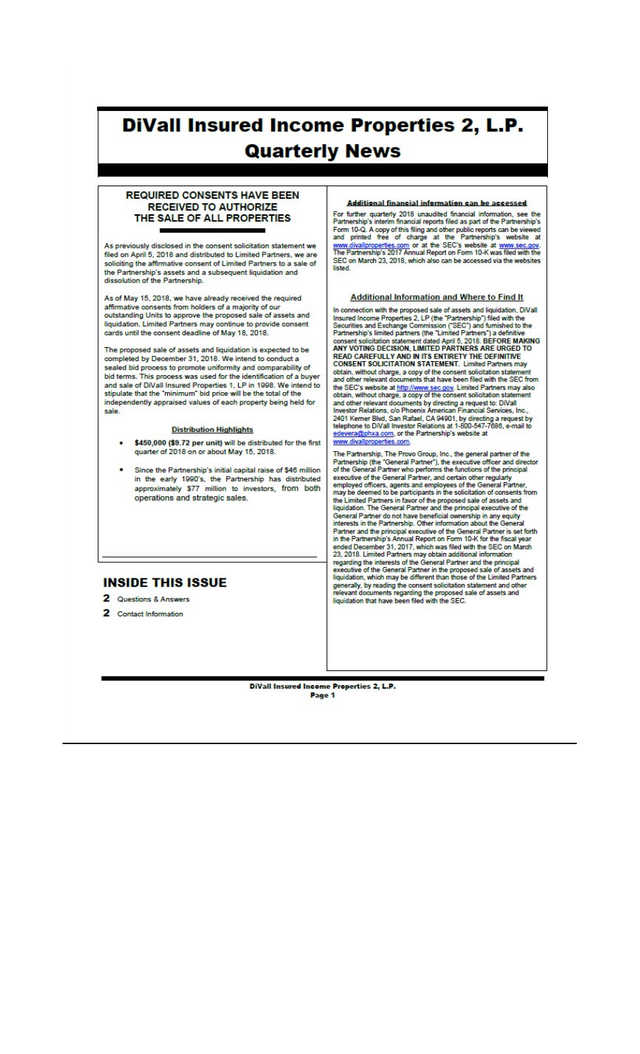# **DiVall Insured Income Properties 2, L.P. Quarterly News**

## **REQUIRED CONSENTS HAVE BEEN RECEIVED TO AUTHORIZE** THE SALE OF ALL PROPERTIES

As previously disclosed in the consent solicitation statement we filed on April 5, 2018 and distributed to Limited Partners, we are soliciting the affirmative consent of Limited Partners to a sale of the Partnership's assets and a subsequent liquidation and<br>dissolution of the Partnership.

As of May 15, 2018, we have already received the required affirmative consents from holders of a majority of our<br>outstanding Units to approve the proposed sale of assets and<br>liquidation. Limited Partners may continue to provide consent cards until the consent deadline of May 18, 2018.

The proposed sale of assets and liquidation is expected to be completed by December 31, 2018. We intend to conduct a sealed bid process to promote uniformity and comparability of<br>bid terms. This process was used for the identification of a buyer and sale of DiVall Insured Properties 1, LP in 1998. We intend to stipulate that the "minimum" bid price will be the total of the independently appraised values of each property being held for sale.

#### **Distribution Highlights**

- \$450,000 (\$9.72 per unit) will be distributed for the first quarter of 2018 on or about May 15, 2018.
- Since the Partnership's initial capital raise of \$46 million in the early 1990's, the Partnership has distributed approximately \$77 million to investors, from both operations and strategic sales.

## **INSIDE THIS ISSUE**

- 2 Questions & Answers
- 2 Contact Information

### Additional financial information can be accessed

For further quarterly 2018 unaudited financial information, see the<br>Partnership's interim financial reports filed as part of the Partnership's<br>Form 10-Q. A copy of this filing and other public reports can be viewed<br>and pri listed

#### Additional Information and Where to Find It

In connection with the proposed sale of assets and liquidation, DiVall In connection will reprofesse state of assets and inquired increased income Properties 2, LP (the "Partnership") filed with the<br>Securities and Exchange Commission ("SEC") and furnished to the<br>Partnership's limited partners READ CAREFULLY AND IN ITS ENTIRETY THE DEFINITIVE<br>CONSENT SOLICITATION STATEMENT. Limited Partners may obtain, without charge, a copy of the consent solicitation statement<br>and other relevant documents that have been filed with the SEC from and other relevant occurrents trait nave been fined Partners may also<br>the SEC's website at http://www.sec.gov. Limited Partners may also<br>obtain, without charge, a copy of the consent solicitation statement<br>and other releva vallproperties.com

The Partnership, The Provo Group, Inc., the general partner of the<br>Partnership (the "General Partner"), the executive officer and director<br>of the General Partner who performs the functions of the principal<br>medium of the Ge or the General Partner, and certain other regularly<br>employed officers, agents and employees of the General Partner,<br>may be deemed to be participants in the solicitation of consents from may be deemed to be participants in the solid and of conservation<br>the Limited Partners in favor of the proposed sale of assets and<br>liquidation. The General Partner and the principal executive of the<br>General Partner do not In the Partnership's Annual report on Port Tu-K for the fiscal year<br>ended December 31, 2017, which was filed with the SEC on March<br>23, 2018. Limited Partners may obtain additional information<br>regarding the interests of the generally, by reading the consent solicitation statement and other<br>relevant documents regarding the proposed sale of assets and<br>liquidation that have been filed with the SEC.

DiVall Insured Income Properties 2, L.P. Page 1